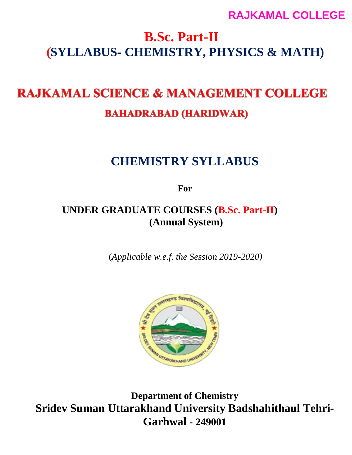# **B.Sc. Part-II SYLLABUS- CHEMISTRY, PHYSICS & MATH)**

# **RAJKAMAL SCIENCE & MANAGEMENT COLLEGE BAHADRABAD (HARIDWAR)**

# **CHEMISTRY SYLLABUS**

**For**

# **UNDER GRADUATE COURSES (B.Sc. Part-II) (Annual System)**

(*Applicable w.e.f. the Session 2019-2020)*



**Department of Chemistry Sridev Suman Uttarakhand University Badshahithaul Tehri-Garhwal - 249001**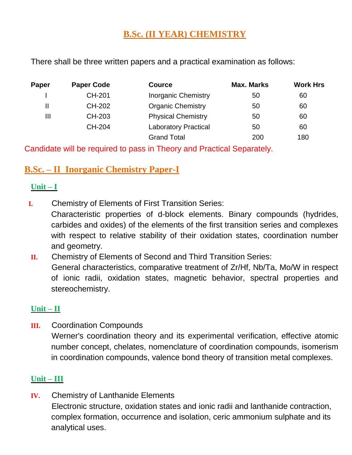# **B.Sc. (II YEAR) CHEMISTRY**

There shall be three written papers and a practical examination as follows:

| Paper | <b>Paper Code</b> | <b>Cource</b>               | <b>Max. Marks</b> | <b>Work Hrs</b> |
|-------|-------------------|-----------------------------|-------------------|-----------------|
|       | <b>CH-201</b>     | <b>Inorganic Chemistry</b>  | 50                | 60              |
| Ш     | CH-202            | <b>Organic Chemistry</b>    | 50                | 60              |
| Ш     | CH-203            | <b>Physical Chemistry</b>   | 50                | 60              |
|       | <b>CH-204</b>     | <b>Laboratory Practical</b> | 50                | 60              |
|       |                   | <b>Grand Total</b>          | 200               | 180             |

Candidate will be required to pass in Theory and Practical Separately.

# **B.Sc. – II Inorganic Chemistry Paper-I**

## **Unit – I**

**I.** Chemistry of Elements of First Transition Series:

Characteristic properties of d-block elements. Binary compounds (hydrides, carbides and oxides) of the elements of the first transition series and complexes with respect to relative stability of their oxidation states, coordination number and geometry.

**II.** Chemistry of Elements of Second and Third Transition Series: General characteristics, comparative treatment of Zr/Hf, Nb/Ta, Mo/W in respect of ionic radii, oxidation states, magnetic behavior, spectral properties and stereochemistry.

## **Unit – II**

**III.** Coordination Compounds Werner's coordination theory and its experimental verification, effective atomic number concept, chelates, nomenclature of coordination compounds, isomerism in coordination compounds, valence bond theory of transition metal complexes.

# **Unit – III**

**IV.** Chemistry of Lanthanide Elements Electronic structure, oxidation states and ionic radii and lanthanide contraction, complex formation, occurrence and isolation, ceric ammonium sulphate and its analytical uses.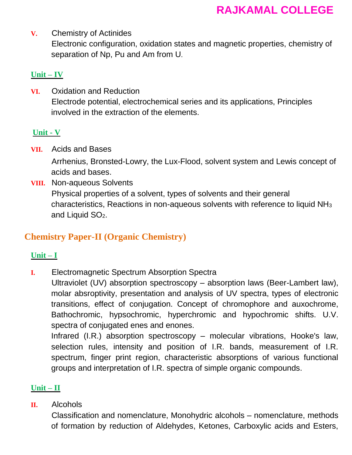**V.** Chemistry of Actinides Electronic configuration, oxidation states and magnetic properties, chemistry of separation of Np, Pu and Am from U.

# **Unit – IV**

**VI.** Oxidation and Reduction Electrode potential, electrochemical series and its applications, Principles involved in the extraction of the elements.

# **Unit - V**

**VII.** Acids and Bases

Arrhenius, Bronsted-Lowry, the Lux-Flood, solvent system and Lewis concept of acids and bases.

**VIII.** Non-aqueous Solvents Physical properties of a solvent, types of solvents and their general characteristics, Reactions in non-aqueous solvents with reference to liquid NH<sup>3</sup> and Liquid SO2.

# **Chemistry Paper-II (Organic Chemistry)**

# **Unit – I**

**I.** Electromagnetic Spectrum Absorption Spectra

Ultraviolet (UV) absorption spectroscopy – absorption laws (Beer-Lambert law), molar absroptivity, presentation and analysis of UV spectra, types of electronic transitions, effect of conjugation. Concept of chromophore and auxochrome, Bathochromic, hypsochromic, hyperchromic and hypochromic shifts. U.V. spectra of conjugated enes and enones.

Infrared (I.R.) absorption spectroscopy – molecular vibrations, Hooke's law, selection rules, intensity and position of I.R. bands, measurement of I.R. spectrum, finger print region, characteristic absorptions of various functional groups and interpretation of I.R. spectra of simple organic compounds.

# **Unit – II**

**II.** Alcohols

Classification and nomenclature, Monohydric alcohols – nomenclature, methods of formation by reduction of Aldehydes, Ketones, Carboxylic acids and Esters,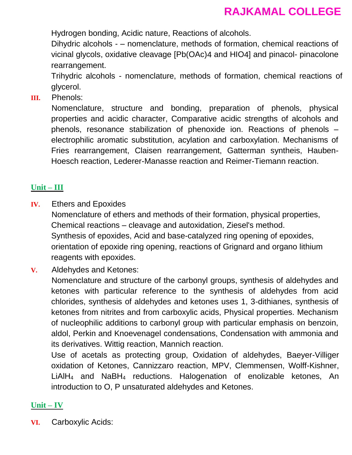Hydrogen bonding, Acidic nature, Reactions of alcohols.

Dihydric alcohols - – nomenclature, methods of formation, chemical reactions of vicinal glycols, oxidative cleavage [Pb(OAc)4 and HIO4] and pinacol- pinacolone rearrangement.

Trihydric alcohols - nomenclature, methods of formation, chemical reactions of glycerol.

**III.** Phenols:

Nomenclature, structure and bonding, preparation of phenols, physical properties and acidic character, Comparative acidic strengths of alcohols and phenols, resonance stabilization of phenoxide ion. Reactions of phenols – electrophilic aromatic substitution, acylation and carboxylation. Mechanisms of Fries rearrangement, Claisen rearrangement, Gatterman syntheis, Hauben-Hoesch reaction, Lederer-Manasse reaction and Reimer-Tiemann reaction.

# **Unit – III**

**IV.** Ethers and Epoxides

Nomenclature of ethers and methods of their formation, physical properties, Chemical reactions – cleavage and autoxidation, Ziesel's method. Synthesis of epoxides, Acid and base-catalyzed ring opening of epoxides, orientation of epoxide ring opening, reactions of Grignard and organo lithium reagents with epoxides.

**V.** Aldehydes and Ketones:

Nomenclature and structure of the carbonyl groups, synthesis of aldehydes and ketones with particular reference to the synthesis of aldehydes from acid chlorides, synthesis of aldehydes and ketones uses 1, 3-dithianes, synthesis of ketones from nitrites and from carboxylic acids, Physical properties. Mechanism of nucleophilic additions to carbonyl group with particular emphasis on benzoin, aldol, Perkin and Knoevenagel condensations, Condensation with ammonia and its derivatives. Wittig reaction, Mannich reaction.

Use of acetals as protecting group, Oxidation of aldehydes, Baeyer-Villiger oxidation of Ketones, Cannizzaro reaction, MPV, Clemmensen, Wolff-Kishner, LiAlH<sup>4</sup> and NaBH<sup>4</sup> reductions. Halogenation of enolizable ketones, An introduction to O, P unsaturated aldehydes and Ketones.

# **Unit – IV**

**VI.** Carboxylic Acids: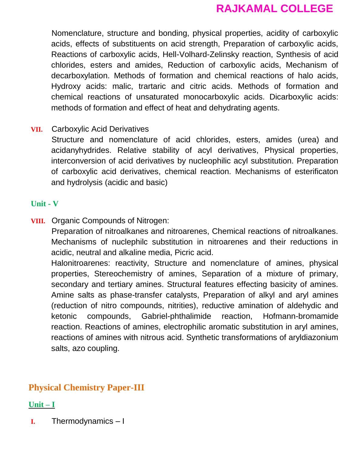Nomenclature, structure and bonding, physical properties, acidity of carboxylic acids, effects of substituents on acid strength, Preparation of carboxylic acids, Reactions of carboxylic acids, Hell-Volhard-Zelinsky reaction, Synthesis of acid chlorides, esters and amides, Reduction of carboxylic acids, Mechanism of decarboxylation. Methods of formation and chemical reactions of halo acids, Hydroxy acids: malic, trartaric and citric acids. Methods of formation and chemical reactions of unsaturated monocarboxylic acids. Dicarboxylic acids: methods of formation and effect of heat and dehydrating agents.

## **VII.** Carboxylic Acid Derivatives

Structure and nomenclature of acid chlorides, esters, amides (urea) and acidanyhydrides. Relative stability of acyl derivatives, Physical properties, interconversion of acid derivatives by nucleophilic acyl substitution. Preparation of carboxylic acid derivatives, chemical reaction. Mechanisms of esterificaton and hydrolysis (acidic and basic)

#### **Unit - V**

**VIII.** Organic Compounds of Nitrogen:

Preparation of nitroalkanes and nitroarenes, Chemical reactions of nitroalkanes. Mechanisms of nuclephilc substitution in nitroarenes and their reductions in acidic, neutral and alkaline media, Picric acid.

Halonitroarenes: reactivity, Structure and nomenclature of amines, physical properties, Stereochemistry of amines, Separation of a mixture of primary, secondary and tertiary amines. Structural features effecting basicity of amines. Amine salts as phase-transfer catalysts, Preparation of alkyl and aryl amines (reduction of nitro compounds, nitrities), reductive amination of aldehydic and ketonic compounds, Gabriel-phthalimide reaction, Hofmann-bromamide reaction. Reactions of amines, electrophilic aromatic substitution in aryl amines, reactions of amines with nitrous acid. Synthetic transformations of aryldiazonium salts, azo coupling.

# **Physical Chemistry Paper-III**

## **Unit – I**

**I.** Thermodynamics – I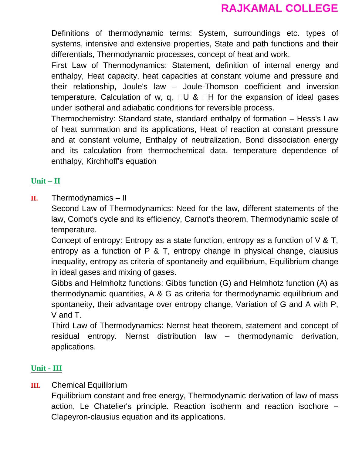Definitions of thermodynamic terms: System, surroundings etc. types of systems, intensive and extensive properties, State and path functions and their differentials, Thermodynamic processes, concept of heat and work.

First Law of Thermodynamics: Statement, definition of internal energy and enthalpy, Heat capacity, heat capacities at constant volume and pressure and their relationship, Joule's law – Joule-Thomson coefficient and inversion temperature. Calculation of w, q,  $\Box U$  &  $\Box H$  for the expansion of ideal gases under isotheral and adiabatic conditions for reversible process.

Thermochemistry: Standard state, standard enthalpy of formation – Hess's Law of heat summation and its applications, Heat of reaction at constant pressure and at constant volume, Enthalpy of neutralization, Bond dissociation energy and its calculation from thermochemical data, temperature dependence of enthalpy, Kirchhoff's equation

## **Unit – II**

**II.** Thermodynamics – II

Second Law of Thermodynamics: Need for the law, different statements of the law, Cornot's cycle and its efficiency, Carnot's theorem. Thermodynamic scale of temperature.

Concept of entropy: Entropy as a state function, entropy as a function of V & T, entropy as a function of P & T, entropy change in physical change, clausius inequality, entropy as criteria of spontaneity and equilibrium, Equilibrium change in ideal gases and mixing of gases.

Gibbs and Helmholtz functions: Gibbs function (G) and Helmhotz function (A) as thermodynamic quantities, A & G as criteria for thermodynamic equilibrium and spontaneity, their advantage over entropy change, Variation of G and A with P, V and T.

Third Law of Thermodynamics: Nernst heat theorem, statement and concept of residual entropy. Nernst distribution law – thermodynamic derivation, applications.

# **Unit - III**

## **III.** Chemical Equilibrium

Equilibrium constant and free energy, Thermodynamic derivation of law of mass action, Le Chatelier's principle. Reaction isotherm and reaction isochore – Clapeyron-clausius equation and its applications.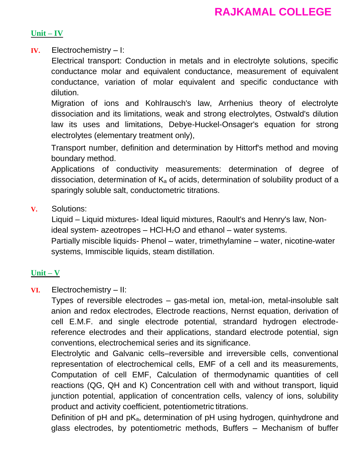#### **Unit – IV**

**IV.** Electrochemistry – I:

Electrical transport: Conduction in metals and in electrolyte solutions, specific conductance molar and equivalent conductance, measurement of equivalent conductance, variation of molar equivalent and specific conductance with dilution.

Migration of ions and Kohlrausch's law, Arrhenius theory of electrolyte dissociation and its limitations, weak and strong electrolytes, Ostwald's dilution law its uses and limitations, Debye-Huckel-Onsager's equation for strong electrolytes (elementary treatment only),

Transport number, definition and determination by Hittorf's method and moving boundary method.

Applications of conductivity measurements: determination of degree of dissociation, determination of  $K_a$  of acids, determination of solubility product of a sparingly soluble salt, conductometric titrations.

**V.** Solutions:

Liquid – Liquid mixtures- Ideal liquid mixtures, Raoult's and Henry's law, Nonideal system- azeotropes  $-$  HCl-H<sub>2</sub>O and ethanol  $-$  water systems. Partially miscible liquids- Phenol – water, trimethylamine – water, nicotine-water systems, Immiscible liquids, steam distillation.

## **Unit – V**

**VI.** Electrochemistry – II:

Types of reversible electrodes – gas-metal ion, metal-ion, metal-insoluble salt anion and redox electrodes, Electrode reactions, Nernst equation, derivation of cell E.M.F. and single electrode potential, strandard hydrogen electrodereference electrodes and their applications, standard electrode potential, sign conventions, electrochemical series and its significance.

Electrolytic and Galvanic cells–reversible and irreversible cells, conventional representation of electrochemical cells, EMF of a cell and its measurements, Computation of cell EMF, Calculation of thermodynamic quantities of cell reactions (QG, QH and K) Concentration cell with and without transport, liquid junction potential, application of concentration cells, valency of ions, solubility product and activity coefficient, potentiometric titrations.

Definition of pH and pK<sub>a</sub>, determination of pH using hydrogen, quinhydrone and glass electrodes, by potentiometric methods, Buffers – Mechanism of buffer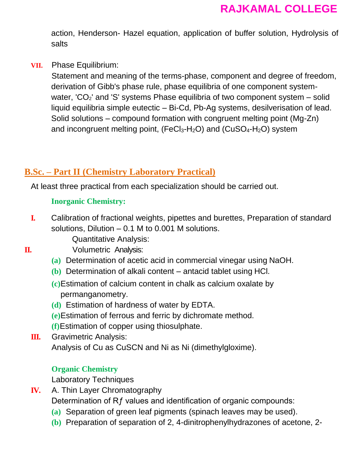action, Henderson- Hazel equation, application of buffer solution, Hydrolysis of salts

**VII.** Phase Equilibrium:

Statement and meaning of the terms-phase, component and degree of freedom, derivation of Gibb's phase rule, phase equilibria of one component systemwater, ' $CO<sub>2</sub>$ ' and 'S' systems Phase equilibria of two component system – solid liquid equilibria simple eutectic – Bi-Cd, Pb-Ag systems, desilverisation of lead. Solid solutions – compound formation with congruent melting point (Mg-Zn) and incongruent melting point,  $(FeCl<sub>3</sub>-H<sub>2</sub>O)$  and  $(CuSO<sub>4</sub>-H<sub>2</sub>O)$  system

# **B.Sc. – Part II (Chemistry Laboratory Practical)**

At least three practical from each specialization should be carried out.

# **Inorganic Chemistry:**

**I.** Calibration of fractional weights, pipettes and burettes, Preparation of standard solutions, Dilution – 0.1 M to 0.001 M solutions.

Quantitative Analysis:

- **II.** Volumetric Analysis:
	- **(a)** Determination of acetic acid in commercial vinegar using NaOH.
	- **(b)** Determination of alkali content antacid tablet using HCl.
	- **(c)**Estimation of calcium content in chalk as calcium oxalate by permanganometry.
	- **(d)** Estimation of hardness of water by EDTA.
	- **(e)**Estimation of ferrous and ferric by dichromate method.
	- **(f)**Estimation of copper using thiosulphate.
	- **III.** Gravimetric Analysis: Analysis of Cu as CuSCN and Ni as Ni (dimethylgloxime).

# **Organic Chemistry**

Laboratory Techniques

- **IV.** A. Thin Layer Chromatography Determination of Rf values and identification of organic compounds:
	- **(a)** Separation of green leaf pigments (spinach leaves may be used).
	- **(b)** Preparation of separation of 2, 4-dinitrophenylhydrazones of acetone, 2-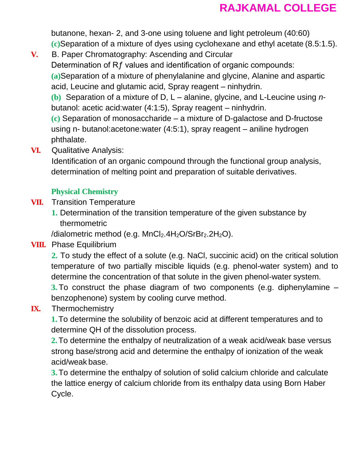butanone, hexan- 2, and 3-one using toluene and light petroleum (40:60) **(c)**Separation of a mixture of dyes using cyclohexane and ethyl acetate (8.5:1.5).

**V.** B. Paper Chromatography: Ascending and Circular Determination of Rf values and identification of organic compounds: **(a)**Separation of a mixture of phenylalanine and glycine, Alanine and aspartic acid, Leucine and glutamic acid, Spray reagent – ninhydrin.

**(b)** Separation of a mixture of D, L – alanine, glycine, and L-Leucine using *n*butanol: acetic acid:water (4:1:5), Spray reagent – ninhydrin.

**(c)** Separation of monosaccharide – a mixture of D-galactose and D-fructose using n- butanol:acetone:water (4:5:1), spray reagent – aniline hydrogen phthalate.

**VI.** Qualitative Analysis:

Identification of an organic compound through the functional group analysis, determination of melting point and preparation of suitable derivatives.

# **Physical Chemistry**

- **VII.** Transition Temperature
	- **1.** Determination of the transition temperature of the given substance by thermometric

/dialometric method (e.g.  $MnCl<sub>2</sub>$ .4H<sub>2</sub>O/SrBr<sub>2</sub>.2H<sub>2</sub>O).

# **VIII.** Phase Equilibrium

**2.** To study the effect of a solute (e.g. NaCl, succinic acid) on the critical solution temperature of two partially miscible liquids (e.g. phenol-water system) and to determine the concentration of that solute in the given phenol-water system.

**3.** To construct the phase diagram of two components (e.g. diphenylamine – benzophenone) system by cooling curve method.

# **IX.** Thermochemistry

**1.**To determine the solubility of benzoic acid at different temperatures and to determine QH of the dissolution process.

**2.**To determine the enthalpy of neutralization of a weak acid/weak base versus strong base/strong acid and determine the enthalpy of ionization of the weak acid/weak base.

**3.** To determine the enthalpy of solution of solid calcium chloride and calculate the lattice energy of calcium chloride from its enthalpy data using Born Haber Cycle.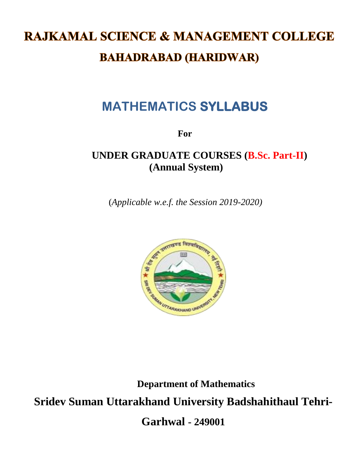# **RAJKAMAL SCIENCE & MANAGEMENT COLLEGE BAHADRABAD (HARIDWAR)**

# **MATHEMATICS SYLLABUS**

**For**

# **UNDER GRADUATE COURSES (B.Sc. Part-II) (Annual System)**

(*Applicable w.e.f. the Session 2019-2020)*



**Department of Mathematics**

**Sridev Suman Uttarakhand University Badshahithaul Tehri-**

**Garhwal - 249001**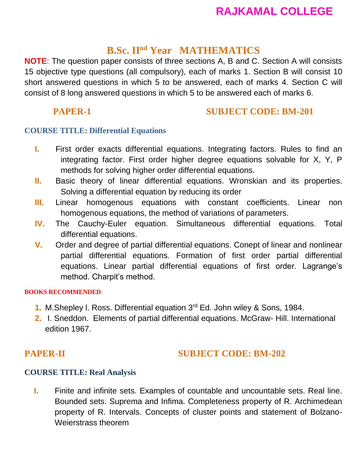# **B.Sc. IInd Year MATHEMATICS**

**NOTE**: The question paper consists of three sections A, B and C. Section A will consists 15 objective type questions (all compulsory), each of marks 1. Section B will consist 10 short answered questions in which 5 to be answered, each of marks 4. Section C will consist of 8 long answered questions in which 5 to be answered each of marks 6.

# **PAPER-1** SUBJECT CODE: BM-201

# **COURSE TITLE: Differential Equations**

- **I.** First order exacts differential equations. Integrating factors. Rules to find an integrating factor. First order higher degree equations solvable for X, Y, P methods for solving higher order differential equations.
- **II.** Basic theory of linear differential equations. Wronskian and its properties. Solving a differential equation by reducing its order
- **III.** Linear homogenous equations with constant coefficients. Linear non homogenous equations, the method of variations of parameters.
- **IV.** The Cauchy-Euler equation. Simultaneous differential equations. Total differential equations.
- **V.** Order and degree of partial differential equations. Conept of linear and nonlinear partial differential equations. Formation of first order partial differential equations. Linear partial differential equations of first order. Lagrange's method. Charpit's method.

#### **BOOKS RECOMMENDED**:

- **1.** M.Shepley l. Ross. Differential equation 3rd Ed. John wiley & Sons, 1984.
- **2.** I. Sneddon. Elements of partial differential equations. McGraw- Hill. International edition 1967.

# **PAPER-II SUBJECT CODE: BM-202**

# **COURSE TITLE: Real Analysis**

**I.** Finite and infinite sets. Examples of countable and uncountable sets. Real line. Bounded sets. Suprema and Infima. Completeness property of R. Archimedean property of R. Intervals. Concepts of cluster points and statement of Bolzano-Weierstrass theorem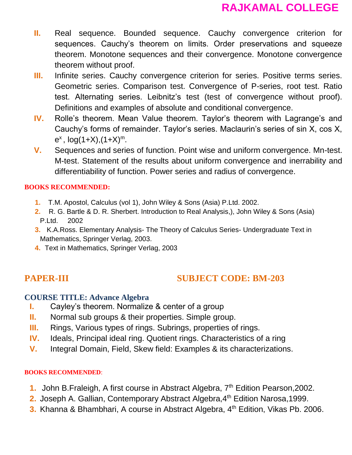- **II.** Real sequence. Bounded sequence. Cauchy convergence criterion for sequences. Cauchy's theorem on limits. Order preservations and squeeze theorem. Monotone sequences and their convergence. Monotone convergence theorem without proof.
- **III.** Infinite series. Cauchy convergence criterion for series. Positive terms series. Geometric series. Comparison test. Convergence of P-series, root test. Ratio test. Alternating series. Leibnitz's test (test of convergence without proof). Definitions and examples of absolute and conditional convergence.
- **IV.** Rolle's theorem. Mean Value theorem. Taylor's theorem with Lagrange's and Cauchy's forms of remainder. Taylor's series. Maclaurin's series of sin X, cos X,  $e^x$ ,  $log(1+X)$ ,  $(1+X)^m$ .
- **V.** Sequences and series of function. Point wise and uniform convergence. Mn-test. M-test. Statement of the results about uniform convergence and inerrability and differentiability of function. Power series and radius of convergence.

#### **BOOKS RECOMMENDED:**

- **1.** T.M. Apostol, Calculus (vol 1), John Wiley & Sons (Asia) P.Ltd. 2002.
- **2.** R. G. Bartle & D. R. Sherbert. Introduction to Real Analysis,), John Wiley & Sons (Asia) P.Ltd. 2002
- **3.** K.A.Ross. Elementary Analysis- The Theory of Calculus Series- Undergraduate Text in Mathematics, Springer Verlag, 2003.
- **4.** Text in Mathematics, Springer Verlag, 2003

# **PAPER-III SUBJECT CODE: BM-203**

#### **COURSE TITLE: Advance Algebra**

- **I.** Cayley's theorem. Normalize & center of a group
- **II.** Normal sub groups & their properties. Simple group.
- **III.** Rings, Various types of rings. Subrings, properties of rings.
- **IV.** Ideals, Principal ideal ring. Quotient rings. Characteristics of a ring
- **V.** Integral Domain, Field, Skew field: Examples & its characterizations.

#### **BOOKS RECOMMENDED**:

- **1.** John B.Fraleigh, A first course in Abstract Algebra, 7<sup>th</sup> Edition Pearson, 2002.
- **2.** Joseph A. Gallian, Contemporary Abstract Algebra, 4<sup>th</sup> Edition Narosa, 1999.
- **3.** Khanna & Bhambhari, A course in Abstract Algebra, 4<sup>th</sup> Edition, Vikas Pb. 2006.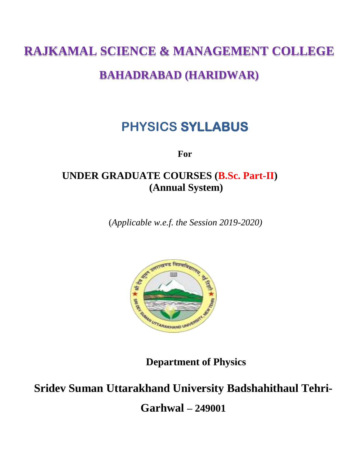# **RAJKAMAL SCIENCE & MANAGEMENT COLLEGE**

# **BAHADRABAD (HARIDWAR)**

# **PHYSICS SYLLABUS**

**For**

# **UNDER GRADUATE COURSES (B.Sc. Part-II) (Annual System)**

(*Applicable w.e.f. the Session 2019-2020)*



**Department of Physics**

# **Sridev Suman Uttarakhand University Badshahithaul Tehri-Garhwal – 249001**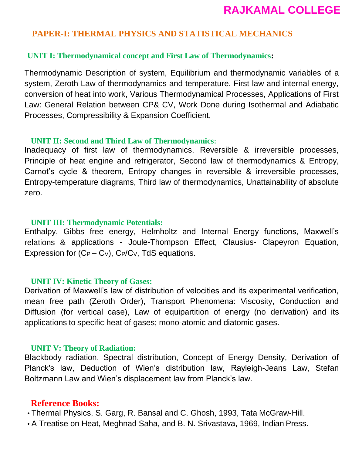# **PAPER-I: THERMAL PHYSICS AND STATISTICAL MECHANICS**

#### **UNIT I: Thermodynamical concept and First Law of Thermodynamics:**

Thermodynamic Description of system, Equilibrium and thermodynamic variables of a system, Zeroth Law of thermodynamics and temperature. First law and internal energy, conversion of heat into work, Various Thermodynamical Processes, Applications of First Law: General Relation between CP& CV, Work Done during Isothermal and Adiabatic Processes, Compressibility & Expansion Coefficient,

#### **UNIT II: Second and Third Law of Thermodynamics:**

Inadequacy of first law of thermodynamics, Reversible & irreversible processes, Principle of heat engine and refrigerator, Second law of thermodynamics & Entropy, Carnot's cycle & theorem, Entropy changes in reversible & irreversible processes, Entropy-temperature diagrams, Third law of thermodynamics, Unattainability of absolute zero.

#### **UNIT III: Thermodynamic Potentials:**

Enthalpy, Gibbs free energy, Helmholtz and Internal Energy functions, Maxwell's relations & applications - Joule-Thompson Effect, Clausius- Clapeyron Equation, Expression for  $(C_P - C_V)$ ,  $C_P/C_V$ , TdS equations.

#### **UNIT IV: Kinetic Theory of Gases:**

Derivation of Maxwell's law of distribution of velocities and its experimental verification, mean free path (Zeroth Order), Transport Phenomena: Viscosity, Conduction and Diffusion (for vertical case), Law of equipartition of energy (no derivation) and its applications to specific heat of gases; mono-atomic and diatomic gases.

#### **UNIT V: Theory of Radiation:**

Blackbody radiation, Spectral distribution, Concept of Energy Density, Derivation of Planck's law, Deduction of Wien's distribution law, Rayleigh-Jeans Law, Stefan Boltzmann Law and Wien's displacement law from Planck's law.

#### **Reference Books:**

• Thermal Physics, S. Garg, R. Bansal and C. Ghosh, 1993, Tata McGraw-Hill.

• A Treatise on Heat, Meghnad Saha, and B. N. Srivastava, 1969, Indian Press.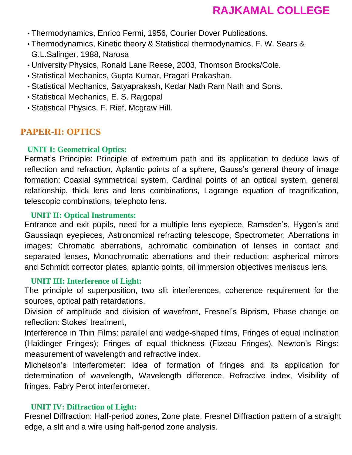- Thermodynamics, Enrico Fermi, 1956, Courier Dover Publications.
- Thermodynamics, Kinetic theory & Statistical thermodynamics, F. W. Sears & G.L.Salinger. 1988, Narosa
- University Physics, Ronald Lane Reese, 2003, Thomson Brooks/Cole.
- Statistical Mechanics, Gupta Kumar, Pragati Prakashan.
- Statistical Mechanics, Satyaprakash, Kedar Nath Ram Nath and Sons.
- Statistical Mechanics, E. S. Rajgopal
- Statistical Physics, F. Rief, Mcgraw Hill.

# **PAPER-II: OPTICS**

# **UNIT I: Geometrical Optics:**

Fermat's Principle: Principle of extremum path and its application to deduce laws of reflection and refraction, Aplantic points of a sphere, Gauss's general theory of image formation: Coaxial symmetrical system, Cardinal points of an optical system, general relationship, thick lens and lens combinations, Lagrange equation of magnification, telescopic combinations, telephoto lens.

## **UNIT II: Optical Instruments:**

Entrance and exit pupils, need for a multiple lens eyepiece, Ramsden's, Hygen's and Gaussiaqn eyepieces, Astronomical refracting telescope, Spectrometer, Aberrations in images: Chromatic aberrations, achromatic combination of lenses in contact and separated lenses, Monochromatic aberrations and their reduction: aspherical mirrors and Schmidt corrector plates, aplantic points, oil immersion objectives meniscus lens.

## **UNIT III: Interference of Light:**

The principle of superposition, two slit interferences, coherence requirement for the sources, optical path retardations.

Division of amplitude and division of wavefront, Fresnel's Biprism, Phase change on reflection: Stokes' treatment,

Interference in Thin Films: parallel and wedge-shaped films, Fringes of equal inclination (Haidinger Fringes); Fringes of equal thickness (Fizeau Fringes), Newton's Rings: measurement of wavelength and refractive index.

Michelson's Interferometer: Idea of formation of fringes and its application for determination of wavelength, Wavelength difference, Refractive index, Visibility of fringes. Fabry Perot interferometer.

## **UNIT IV: Diffraction of Light:**

Fresnel Diffraction: Half-period zones, Zone plate, Fresnel Diffraction pattern of a straight edge, a slit and a wire using half-period zone analysis.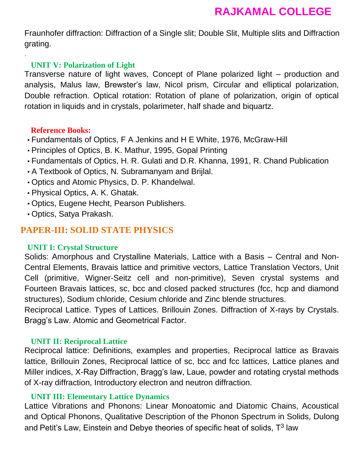Fraunhofer diffraction: Diffraction of a Single slit; Double Slit, Multiple slits and Diffraction grating.

#### **UNIT V: Polarization of Light**

Transverse nature of light waves, Concept of Plane polarized light – production and analysis, Malus law, Brewster's law, Nicol prism, Circular and elliptical polarization, Double refraction. Optical rotation: Rotation of plane of polarization, origin of optical rotation in liquids and in crystals, polarimeter, half shade and biquartz.

#### **Reference Books:**

.

- Fundamentals of Optics, F A Jenkins and H E White, 1976, McGraw-Hill
- Principles of Optics, B. K. Mathur, 1995, Gopal Printing
- Fundamentals of Optics, H. R. Gulati and D.R. Khanna, 1991, R. Chand Publication
- A Textbook of Optics, N. Subramanyam and Brijlal.
- Optics and Atomic Physics, D. P. Khandelwal.
- Physical Optics, A. K. Ghatak.
- Optics, Eugene Hecht, Pearson Publishers.
- Optics, Satya Prakash.

# **PAPER-III: SOLID STATE PHYSICS**

#### **UNIT I: Crystal Structure**

Solids: Amorphous and Crystalline Materials, Lattice with a Basis – Central and Non-Central Elements, Bravais lattice and primitive vectors, Lattice Translation Vectors, Unit Cell (primitive, Wigner-Seitz cell and non-primitive), Seven crystal systems and Fourteen Bravais lattices, sc, bcc and closed packed structures (fcc, hcp and diamond structures), Sodium chloride, Cesium chloride and Zinc blende structures.

Reciprocal Lattice. Types of Lattices. Brillouin Zones. Diffraction of X-rays by Crystals. Bragg's Law. Atomic and Geometrical Factor.

## **UNIT II: Reciprocal Lattice**

Reciprocal lattice: Definitions, examples and properties, Reciprocal lattice as Bravais lattice, Brillouin Zones, Reciprocal lattice of sc, bcc and fcc lattices, Lattice planes and Miller indices, X-Ray Diffraction, Bragg's law, Laue, powder and rotating crystal methods of X-ray diffraction, Introductory electron and neutron diffraction.

#### **UNIT III: Elementary Lattice Dynamics**

Lattice Vibrations and Phonons: Linear Monoatomic and Diatomic Chains, Acoustical and Optical Phonons, Qualitative Description of the Phonon Spectrum in Solids, Dulong and Petit's Law, Einstein and Debye theories of specific heat of solids, T<sup>3</sup> law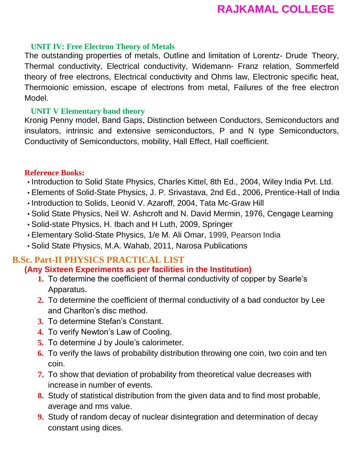## **UNIT IV: Free Electron Theory of Metals**

The outstanding properties of metals, Outline and limitation of Lorentz- Drude Theory, Thermal conductivity, Electrical conductivity, Widemann- Franz relation, Sommerfeld theory of free electrons, Electrical conductivity and Ohms law, Electronic specific heat, Thermoionic emission, escape of electrons from metal, Failures of the free electron Model.

## **UNIT V Elementary band theory**

Kronig Penny model, Band Gaps, Distinction between Conductors, Semiconductors and insulators, intrinsic and extensive semiconductors, P and N type Semiconductors, Conductivity of Semiconductors, mobility, Hall Effect, Hall coefficient.

## **Reference Books:**

- Introduction to Solid State Physics, Charles Kittel, 8th Ed., 2004, Wiley India Pvt. Ltd.
- Elements of Solid-State Physics, J. P. Srivastava, 2nd Ed., 2006, Prentice-Hall of India
- Introduction to Solids, Leonid V. Azaroff, 2004, Tata Mc-Graw Hill
- Solid State Physics, Neil W. Ashcroft and N. David Mermin, 1976, Cengage Learning
- Solid-state Physics, H. Ibach and H Luth, 2009, Springer
- Elementary Solid-State Physics, 1/e M. Ali Omar, 1999, Pearson India
- Solid State Physics, M.A. Wahab, 2011, Narosa Publications

#### **B.Sc. Part-II PHYSICS PRACTICAL LIST (Any Sixteen Experiments as per facilities in the Institution)**

- **1.** To determine the coefficient of thermal conductivity of copper by Searle's Apparatus.
- **2.** To determine the coefficient of thermal conductivity of a bad conductor by Lee and Charlton's disc method.
- **3.** To determine Stefan's Constant.
- **4.** To verify Newton's Law of Cooling.
- **5.** To determine J by Joule's calorimeter.
- **6.** To verify the laws of probability distribution throwing one coin, two coin and ten coin.
- **7.** To show that deviation of probability from theoretical value decreases with increase in number of events.
- **8.** Study of statistical distribution from the given data and to find most probable, average and rms value.
- **9.** Study of random decay of nuclear disintegration and determination of decay constant using dices.